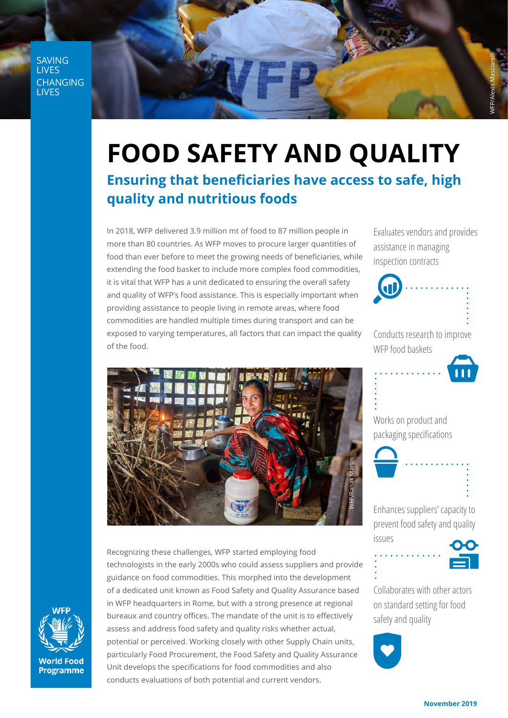SAVING **LIVES** CHANGING **LIVES** 

## **FOOD SAFETY AND QUALITY**

## **Ensuring that beneficiaries have access to safe, high quality and nutritious foods**

In 2018, WFP delivered 3.9 million mt of food to 87 million people in more than 80 countries. As WFP moves to procure larger quantities of food than ever before to meet the growing needs of beneficiaries, while extending the food basket to include more complex food commodities, it is vital that WFP has a unit dedicated to ensuring the overall safety and quality of WFP's food assistance. This is especially important when providing assistance to people living in remote areas, where food commodities are handled multiple times during transport and can be exposed to varying temperatures, all factors that can impact the quality of the food.

Evaluates vendors and provides assistance in managing inspection contracts

WFP/Alexis Masciarelli





Works on product and packaging specifications



Enhances suppliers' capacity to prevent food safety and quality



Collaborates with other actors on standard setting for food safety and quality





Recognizing these challenges, WFP started employing food technologists in the early 2000s who could assess suppliers and provide guidance on food commodities. This morphed into the development of a dedicated unit known as Food Safety and Quality Assurance based in WFP headquarters in Rome, but with a strong presence at regional bureaux and country offices. The mandate of the unit is to effectively assess and address food safety and quality risks whether actual, potential or perceived. Working closely with other Supply Chain units, particularly Food Procurement, the Food Safety and Quality Assurance Unit develops the specifications for food commodities and also conducts evaluations of both potential and current vendors.